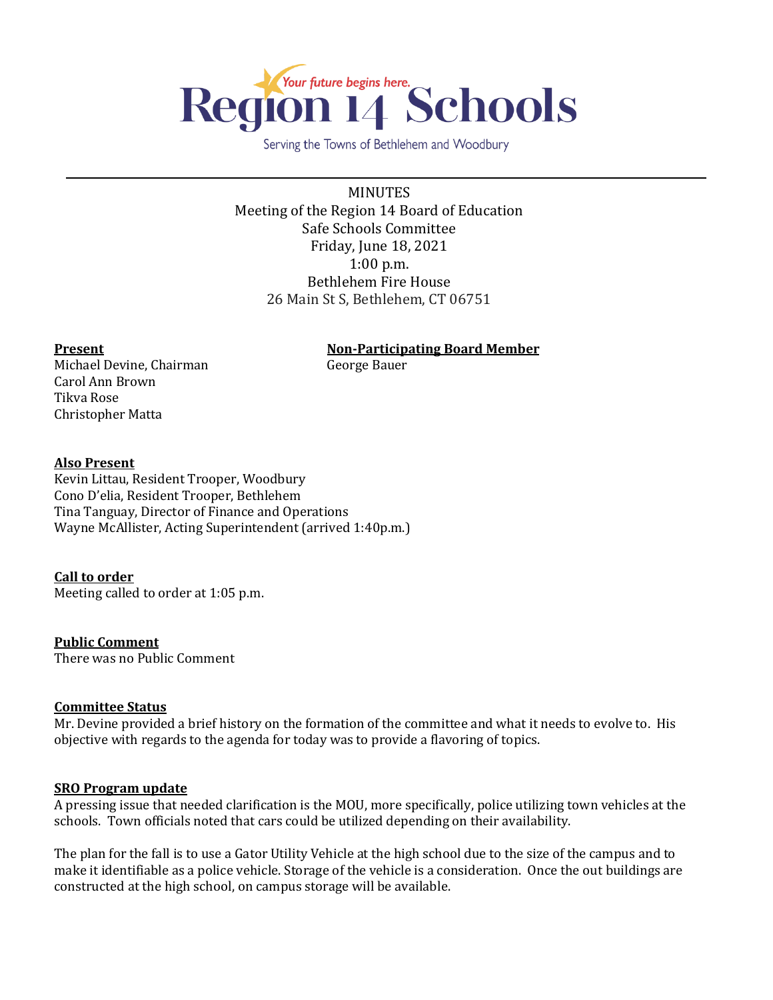

Serving the Towns of Bethlehem and Woodbury

MINUTES Meeting of the Region 14 Board of Education Safe Schools Committee Friday, June 18, 2021 1:00 p.m. Bethlehem Fire House 26 Main St S, Bethlehem, CT 06751

**Present Non-Participating Board Member**

Michael Devine, Chairman George Bauer Carol Ann Brown Tikva Rose Christopher Matta

## **Also Present**

Kevin Littau, Resident Trooper, Woodbury Cono D'elia, Resident Trooper, Bethlehem Tina Tanguay, Director of Finance and Operations Wayne McAllister, Acting Superintendent (arrived 1:40p.m.)

# **Call to order**

Meeting called to order at 1:05 p.m.

#### **Public Comment**

There was no Public Comment

#### **Committee Status**

Mr. Devine provided a brief history on the formation of the committee and what it needs to evolve to. His objective with regards to the agenda for today was to provide a flavoring of topics.

#### **SRO Program update**

A pressing issue that needed clarification is the MOU, more specifically, police utilizing town vehicles at the schools. Town officials noted that cars could be utilized depending on their availability.

The plan for the fall is to use a Gator Utility Vehicle at the high school due to the size of the campus and to make it identifiable as a police vehicle. Storage of the vehicle is a consideration. Once the out buildings are constructed at the high school, on campus storage will be available.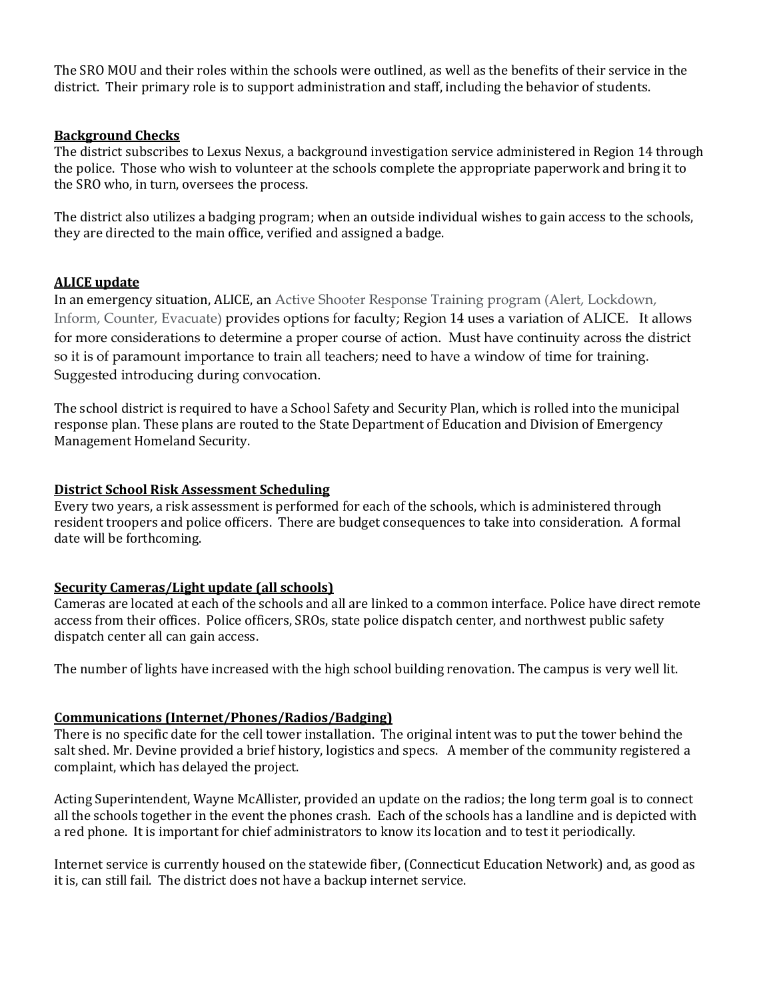The SRO MOU and their roles within the schools were outlined, as well as the benefits of their service in the district. Their primary role is to support administration and staff, including the behavior of students.

## **Background Checks**

The district subscribes to Lexus Nexus, a background investigation service administered in Region 14 through the police. Those who wish to volunteer at the schools complete the appropriate paperwork and bring it to the SRO who, in turn, oversees the process.

The district also utilizes a badging program; when an outside individual wishes to gain access to the schools, they are directed to the main office, verified and assigned a badge.

## **ALICE update**

In an emergency situation, ALICE, an Active Shooter Response Training program (Alert, Lockdown, Inform, Counter, Evacuate) provides options for faculty; Region 14 uses a variation of ALICE. It allows for more considerations to determine a proper course of action. Must have continuity across the district so it is of paramount importance to train all teachers; need to have a window of time for training. Suggested introducing during convocation.

The school district is required to have a School Safety and Security Plan, which is rolled into the municipal response plan. These plans are routed to the State Department of Education and Division of Emergency Management Homeland Security.

## **District School Risk Assessment Scheduling**

Every two years, a risk assessment is performed for each of the schools, which is administered through resident troopers and police officers. There are budget consequences to take into consideration. A formal date will be forthcoming.

# **Security Cameras/Light update (all schools)**

Cameras are located at each of the schools and all are linked to a common interface. Police have direct remote access from their offices. Police officers, SROs, state police dispatch center, and northwest public safety dispatch center all can gain access.

The number of lights have increased with the high school building renovation. The campus is very well lit.

# **Communications (Internet/Phones/Radios/Badging)**

There is no specific date for the cell tower installation. The original intent was to put the tower behind the salt shed. Mr. Devine provided a brief history, logistics and specs. A member of the community registered a complaint, which has delayed the project.

Acting Superintendent, Wayne McAllister, provided an update on the radios; the long term goal is to connect all the schools together in the event the phones crash. Each of the schools has a landline and is depicted with a red phone. It is important for chief administrators to know its location and to test it periodically.

Internet service is currently housed on the statewide fiber, (Connecticut Education Network) and, as good as it is, can still fail. The district does not have a backup internet service.